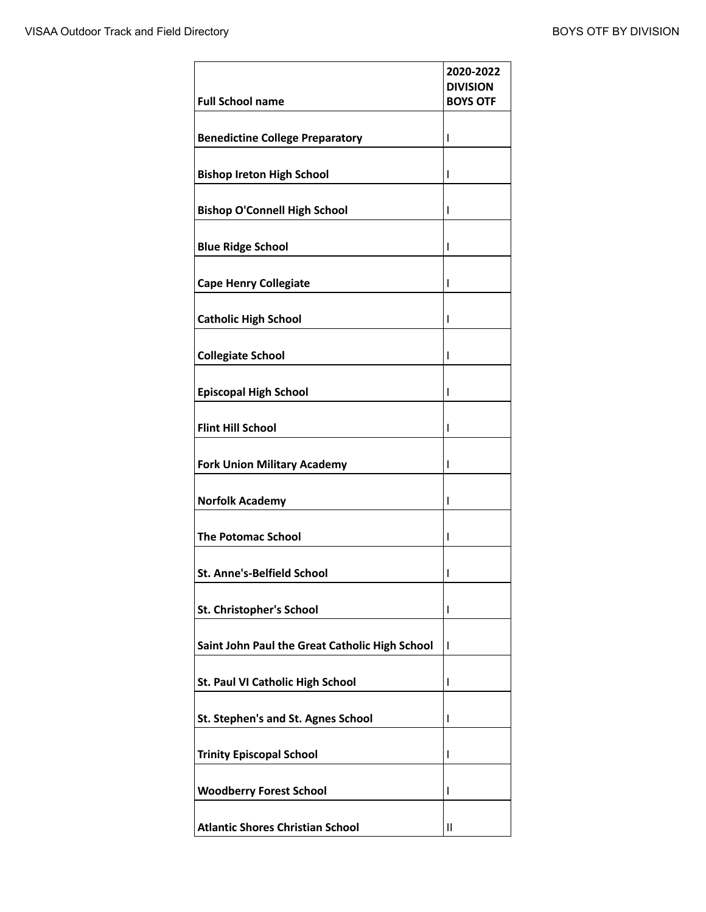| <b>Full School name</b>                        | 2020-2022<br><b>DIVISION</b><br><b>BOYS OTF</b> |
|------------------------------------------------|-------------------------------------------------|
| <b>Benedictine College Preparatory</b>         | I                                               |
| <b>Bishop Ireton High School</b>               | ı                                               |
| <b>Bishop O'Connell High School</b>            | I                                               |
| <b>Blue Ridge School</b>                       | ı                                               |
| <b>Cape Henry Collegiate</b>                   | ı                                               |
| <b>Catholic High School</b>                    | ı                                               |
| <b>Collegiate School</b>                       | ı                                               |
| <b>Episcopal High School</b>                   | ı                                               |
| <b>Flint Hill School</b>                       | I                                               |
| <b>Fork Union Military Academy</b>             | ı                                               |
| <b>Norfolk Academy</b>                         | ı                                               |
| <b>The Potomac School</b>                      | ı                                               |
| St. Anne's-Belfield School                     | ı                                               |
| St. Christopher's School                       | I                                               |
| Saint John Paul the Great Catholic High School | ı                                               |
| St. Paul VI Catholic High School               | I                                               |
| St. Stephen's and St. Agnes School             | I                                               |
| <b>Trinity Episcopal School</b>                | I                                               |
| <b>Woodberry Forest School</b>                 | I                                               |
| <b>Atlantic Shores Christian School</b>        | Ш                                               |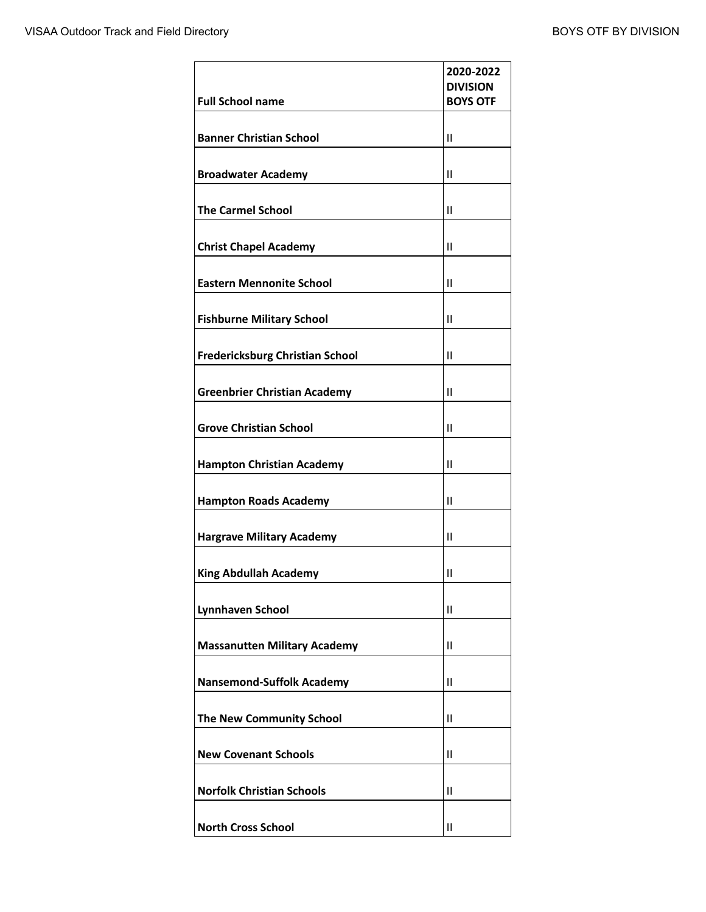| <b>Full School name</b>                | 2020-2022<br><b>DIVISION</b><br><b>BOYS OTF</b> |
|----------------------------------------|-------------------------------------------------|
| <b>Banner Christian School</b>         | $\mathbf{II}$                                   |
| <b>Broadwater Academy</b>              | $\mathsf{II}$                                   |
| <b>The Carmel School</b>               | $\mathsf{II}$                                   |
| <b>Christ Chapel Academy</b>           | $\mathbf{II}$                                   |
| <b>Eastern Mennonite School</b>        | $\mathbf{II}$                                   |
| <b>Fishburne Military School</b>       | $\mathsf{II}$                                   |
| <b>Fredericksburg Christian School</b> | Ш                                               |
| <b>Greenbrier Christian Academy</b>    | $\mathbf{II}$                                   |
| <b>Grove Christian School</b>          | $\mathbf{II}$                                   |
| <b>Hampton Christian Academy</b>       | $\mathsf{II}$                                   |
| <b>Hampton Roads Academy</b>           | $\mathbf{II}$                                   |
| <b>Hargrave Military Academy</b>       | $\mathbf{II}$                                   |
| <b>King Abdullah Academy</b>           | $\mathbf{I}$                                    |
| <b>Lynnhaven School</b>                | $\mathsf{II}$                                   |
| <b>Massanutten Military Academy</b>    | Ш                                               |
| <b>Nansemond-Suffolk Academy</b>       | Ш                                               |
| The New Community School               | $\mathbf{II}$                                   |
| <b>New Covenant Schools</b>            | $\mathsf{II}$                                   |
| <b>Norfolk Christian Schools</b>       | Ш                                               |
| <b>North Cross School</b>              | Ш                                               |